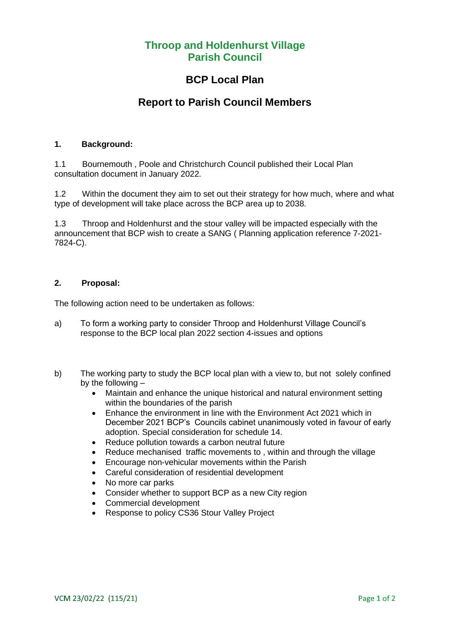### **Throop and Holdenhurst Village Parish Council**

### **BCP Local Plan**

## **Report to Parish Council Members**

#### **1. Background:**

1.1 Bournemouth , Poole and Christchurch Council published their Local Plan consultation document in January 2022.

1.2 Within the document they aim to set out their strategy for how much, where and what type of development will take place across the BCP area up to 2038.

1.3 Throop and Holdenhurst and the stour valley will be impacted especially with the announcement that BCP wish to create a SANG ( Planning application reference 7-2021- 7824-C).

#### **2. Proposal:**

The following action need to be undertaken as follows:

- a) To form a working party to consider Throop and Holdenhurst Village Council's response to the BCP local plan 2022 section 4-issues and options
- b) The working party to study the BCP local plan with a view to, but not solely confined by the following –
	- Maintain and enhance the unique historical and natural environment setting within the boundaries of the parish
	- Enhance the environment in line with the Environment Act 2021 which in December 2021 BCP's Councils cabinet unanimously voted in favour of early adoption. Special consideration for schedule 14.
	- Reduce pollution towards a carbon neutral future
	- Reduce mechanised traffic movements to, within and through the village
	- Encourage non-vehicular movements within the Parish
	- Careful consideration of residential development
	- No more car parks
	- Consider whether to support BCP as a new City region
	- Commercial development
	- Response to policy CS36 Stour Valley Project